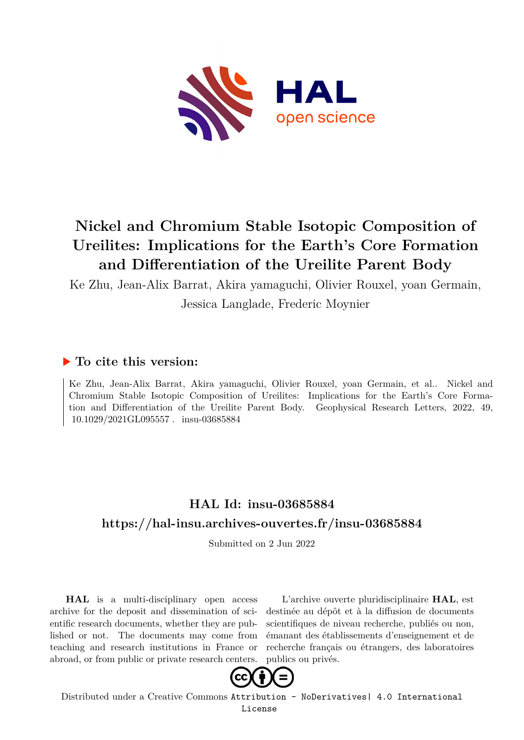

# **Nickel and Chromium Stable Isotopic Composition of Ureilites: Implications for the Earth's Core Formation and Differentiation of the Ureilite Parent Body**

Ke Zhu, Jean-Alix Barrat, Akira yamaguchi, Olivier Rouxel, yoan Germain,

Jessica Langlade, Frederic Moynier

# **To cite this version:**

Ke Zhu, Jean-Alix Barrat, Akira yamaguchi, Olivier Rouxel, yoan Germain, et al.. Nickel and Chromium Stable Isotopic Composition of Ureilites: Implications for the Earth's Core Formation and Differentiation of the Ureilite Parent Body. Geophysical Research Letters, 2022, 49, 10.1029/2021GL095557. insu-03685884

# **HAL Id: insu-03685884 <https://hal-insu.archives-ouvertes.fr/insu-03685884>**

Submitted on 2 Jun 2022

**HAL** is a multi-disciplinary open access archive for the deposit and dissemination of scientific research documents, whether they are published or not. The documents may come from teaching and research institutions in France or abroad, or from public or private research centers.

L'archive ouverte pluridisciplinaire **HAL**, est destinée au dépôt et à la diffusion de documents scientifiques de niveau recherche, publiés ou non, émanant des établissements d'enseignement et de recherche français ou étrangers, des laboratoires publics ou privés.



Distributed under a Creative Commons [Attribution - NoDerivatives| 4.0 International](http://creativecommons.org/licenses/by-nd/4.0/) [License](http://creativecommons.org/licenses/by-nd/4.0/)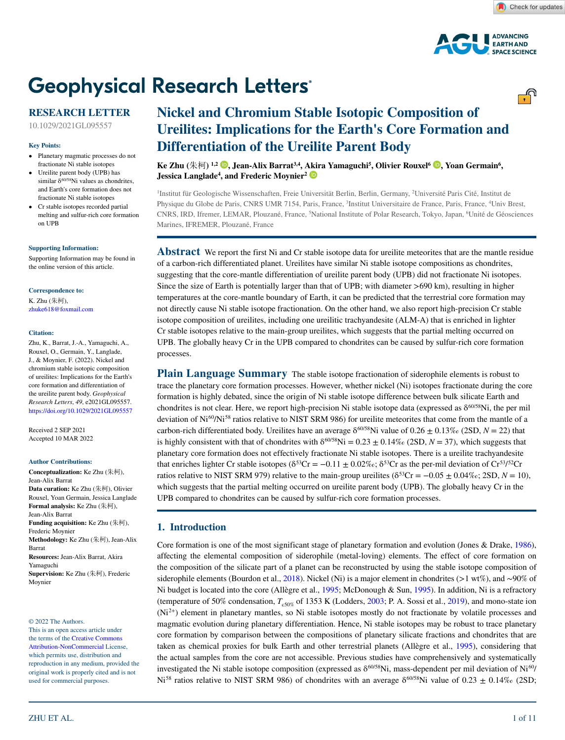

# **Geophysical Research Letters®**

## **RESEARCH LETTER**

10.1029/2021GL095557

#### **Key Points:**

- Planetary magmatic processes do not fractionate Ni stable isotopes
- Ureilite parent body (UPB) has similar  $\delta^{60/58}$ Ni values as chondrites. and Earth's core formation does not fractionate Ni stable isotopes
- Cr stable isotopes recorded partial melting and sulfur-rich core formation on UPB

#### **[Supporting Information:](https://doi.org/10.1029/2021GL095557)**

[Supporting Information may be found in](https://doi.org/10.1029/2021GL095557)  [the online version of this article.](https://doi.org/10.1029/2021GL095557)

#### **Correspondence to:**

K. Zhu (朱柯), zhuke618@foxmail.com

#### **Citation:**

Zhu, K., Barrat, J.-A., Yamaguchi, A., Rouxel, O., Germain, Y., Langlade, J., & Moynier, F. (2022). Nickel and chromium stable isotopic composition of ureilites: Implications for the Earth's core formation and differentiation of the ureilite parent body. *Geophysical Research Letters*, *49*, e2021GL095557. <https://doi.org/10.1029/2021GL095557>

Received 2 SEP 2021 Accepted 10 MAR 2022

#### **Author Contributions:**

**Conceptualization:** Ke Zhu (朱柯), Jean-Alix Barrat **Data curation:** Ke Zhu (朱柯), Olivier Rouxel, Yoan Germain, Jessica Langlade **Formal analysis:** Ke Zhu (朱柯), Jean-Alix Barrat **Funding acquisition:** Ke Zhu (朱柯), Frederic Moynier **Methodology:** Ke Zhu (朱柯), Jean-Alix Barrat **Resources:** Jean-Alix Barrat, Akira Yamaguchi **Supervision:** Ke Zhu (朱柯), Frederic Moynier

© 2022 The Authors.

This is an open access article under the terms of the [Creative Commons](http://creativecommons.org/licenses/by-nc/4.0/)  [Attribution-NonCommercial](http://creativecommons.org/licenses/by-nc/4.0/) License, which permits use, distribution and reproduction in any medium, provided the original work is properly cited and is not used for commercial purposes.

#### ZHU ET AL.

# **Nickel and Chromium Stable Isotopic Composition of Ureilites: Implications for the Earth's Core Formation and Differentiation of the Ureilite Parent Body**

**Ke Zhu (**朱柯**) 1,2 [,](https://orcid.org/0000-0003-3613-7239) Jean-Alix Barrat3,4, [Akir](https://orcid.org/0000-0003-4321-5581)a Yamaguchi5 , Olivier Rouxel6 [,](https://orcid.org/0000-0002-1431-222X) Yoan Germain6 , Jessica Langlade<sup>4</sup> , and Frederic Moynier2**

1 Institut für Geologische Wissenschaften, Freie Universität Berlin, Berlin, Germany, 2 Université Paris Cité, Institut de Physique du Globe de Paris, CNRS UMR 7154, Paris, France, <sup>3</sup>Institut Universitaire de France, Paris, France, <sup>4</sup>Univ Brest, CNRS, IRD, Ifremer, LEMAR, Plouzané, France, 'National Institute of Polar Research, Tokyo, Japan, <sup>6</sup>Unité de Géosciences Marines, IFREMER, Plouzané, France

**Abstract** We report the first Ni and Cr stable isotope data for ureilite meteorites that are the mantle residue of a carbon-rich differentiated planet. Ureilites have similar Ni stable isotope compositions as chondrites, suggesting that the core-mantle differentiation of ureilite parent body (UPB) did not fractionate Ni isotopes. Since the size of Earth is potentially larger than that of UPB; with diameter >690 km), resulting in higher temperatures at the core-mantle boundary of Earth, it can be predicted that the terrestrial core formation may not directly cause Ni stable isotope fractionation. On the other hand, we also report high-precision Cr stable isotope composition of ureilites, including one ureilitic trachyandesite (ALM-A) that is enriched in lighter Cr stable isotopes relative to the main-group ureilites, which suggests that the partial melting occurred on UPB. The globally heavy Cr in the UPB compared to chondrites can be caused by sulfur-rich core formation processes.

**Plain Language Summary** The stable isotope fractionation of siderophile elements is robust to trace the planetary core formation processes. However, whether nickel (Ni) isotopes fractionate during the core formation is highly debated, since the origin of Ni stable isotope difference between bulk silicate Earth and chondrites is not clear. Here, we report high-precision Ni stable isotope data (expressed as  $\delta^{60/58}$ Ni, the per mil deviation of Ni<sup>60</sup>/Ni<sup>58</sup> ratios relative to NIST SRM 986) for ureilite meteorites that come from the mantle of a carbon-rich differentiated body. Ureilites have an average  $\delta^{60/58}$ Ni value of  $0.26 \pm 0.13\%$  (2SD,  $N = 22$ ) that is highly consistent with that of chondrites with  $\delta^{60/58}$ Ni = 0.23  $\pm$  0.14‰ (2SD, *N* = 37), which suggests that planetary core formation does not effectively fractionate Ni stable isotopes. There is a ureilite trachyandesite that enriches lighter Cr stable isotopes ( $\delta^{53}Cr = -0.11 \pm 0.02\%c$ ;  $\delta^{53}Cr$  as the per-mil deviation of  $Cr^{53/52}Cr$ ratios relative to NIST SRM 979) relative to the main-group ureilites ( $\delta^{53}Cr = -0.05 \pm 0.04\%$ ; 2SD,  $N = 10$ ), which suggests that the partial melting occurred on ureilite parent body (UPB). The globally heavy Cr in the UPB compared to chondrites can be caused by sulfur-rich core formation processes.

#### **1. Introduction**

Core formation is one of the most significant stage of planetary formation and evolution (Jones & Drake, 1986), affecting the elemental composition of siderophile (metal-loving) elements. The effect of core formation on the composition of the silicate part of a planet can be reconstructed by using the stable isotope composition of siderophile elements (Bourdon et al., 2018). Nickel (Ni) is a major element in chondrites (>1 wt%), and ∼90% of Ni budget is located into the core (Allègre et al., 1995; McDonough & Sun, 1995). In addition, Ni is a refractory (temperature of 50% condensation,  $T_{c50\%}$  of 1353 K (Lodders, 2003; P. A. Sossi et al., 2019), and mono-state ion (Ni2+) element in planetary mantles, so Ni stable isotopes mostly do not fractionate by volatile processes and magmatic evolution during planetary differentiation. Hence, Ni stable isotopes may be robust to trace planetary core formation by comparison between the compositions of planetary silicate fractions and chondrites that are taken as chemical proxies for bulk Earth and other terrestrial planets (Allègre et al., 1995), considering that the actual samples from the core are not accessible. Previous studies have comprehensively and systematically investigated the Ni stable isotope composition (expressed as  $\delta^{60/58}$ Ni, mass-dependent per mil deviation of Ni $^{60}$ / Ni<sup>58</sup> ratios relative to NIST SRM 986) of chondrites with an average  $\delta^{60/58}$ Ni value of 0.23  $\pm$  0.14‰ (2SD;

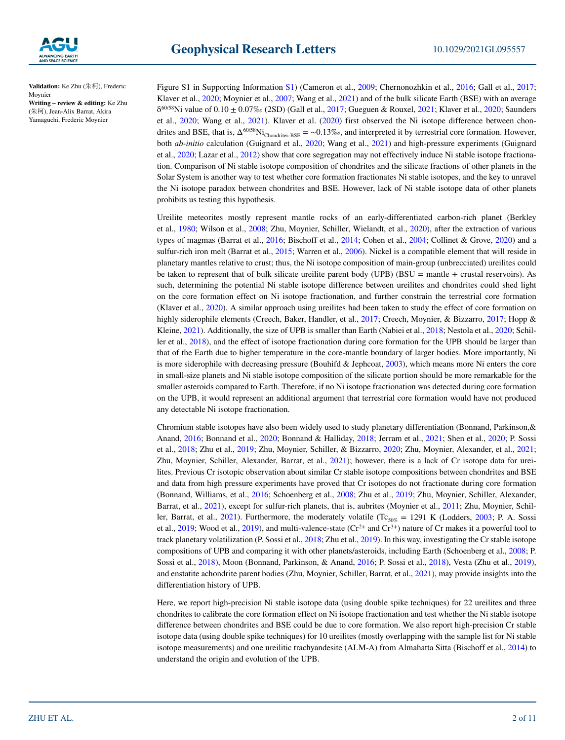

**Validation:** Ke Zhu (朱柯), Frederic Moynier **Writing – review & editing:** Ke Zhu (朱柯), Jean-Alix Barrat, Akira

Yamaguchi, Frederic Moynier

Figure S1 in Supporting Information S1) (Cameron et al., 2009; Chernonozhkin et al., 2016; Gall et al., 2017; Klaver et al., 2020; Moynier et al., 2007; Wang et al., 2021) and of the bulk silicate Earth (BSE) with an average  $\delta^{60/58}$ Ni value of 0.10  $\pm$  0.07‰ (2SD) (Gall et al., 2017; Gueguen & Rouxel, 2021; Klaver et al., 2020; Saunders et al., 2020; Wang et al., 2021). Klaver et al. (2020) first observed the Ni isotope difference between chondrites and BSE, that is,  $\Delta^{60/58}$ Ni<sub>Chondrites-BSE</sub> = ~0.13‰, and interpreted it by terrestrial core formation. However, both *ab-initio* calculation (Guignard et al., 2020; Wang et al., 2021) and high-pressure experiments (Guignard et al., 2020; Lazar et al., 2012) show that core segregation may not effectively induce Ni stable isotope fractionation. Comparison of Ni stable isotope composition of chondrites and the silicate fractions of other planets in the Solar System is another way to test whether core formation fractionates Ni stable isotopes, and the key to unravel the Ni isotope paradox between chondrites and BSE. However, lack of Ni stable isotope data of other planets prohibits us testing this hypothesis.

Ureilite meteorites mostly represent mantle rocks of an early-differentiated carbon-rich planet (Berkley et al., 1980; Wilson et al., 2008; Zhu, Moynier, Schiller, Wielandt, et al., 2020), after the extraction of various types of magmas (Barrat et al., 2016; Bischoff et al., 2014; Cohen et al., 2004; Collinet & Grove, 2020) and a sulfur-rich iron melt (Barrat et al., 2015; Warren et al., 2006). Nickel is a compatible element that will reside in planetary mantles relative to crust; thus, the Ni isotope composition of main-group (unbrecciated) ureilites could be taken to represent that of bulk silicate ureilite parent body (UPB) (BSU = mantle + crustal reservoirs). As such, determining the potential Ni stable isotope difference between ureilites and chondrites could shed light on the core formation effect on Ni isotope fractionation, and further constrain the terrestrial core formation (Klaver et al., 2020). A similar approach using ureilites had been taken to study the effect of core formation on highly siderophile elements (Creech, Baker, Handler, et al., 2017; Creech, Moynier, & Bizzarro, 2017; Hopp & Kleine, 2021). Additionally, the size of UPB is smaller than Earth (Nabiei et al., 2018; Nestola et al., 2020; Schiller et al., 2018), and the effect of isotope fractionation during core formation for the UPB should be larger than that of the Earth due to higher temperature in the core-mantle boundary of larger bodies. More importantly, Ni is more siderophile with decreasing pressure (Bouhifd  $\&$  Jephcoat, 2003), which means more Ni enters the core in small-size planets and Ni stable isotope composition of the silicate portion should be more remarkable for the smaller asteroids compared to Earth. Therefore, if no Ni isotope fractionation was detected during core formation on the UPB, it would represent an additional argument that terrestrial core formation would have not produced any detectable Ni isotope fractionation.

Chromium stable isotopes have also been widely used to study planetary differentiation (Bonnand, Parkinson,& Anand, 2016; Bonnand et al., 2020; Bonnand & Halliday, 2018; Jerram et al., 2021; Shen et al., 2020; P. Sossi et al., 2018; Zhu et al., 2019; Zhu, Moynier, Schiller, & Bizzarro, 2020; Zhu, Moynier, Alexander, et al., 2021; Zhu, Moynier, Schiller, Alexander, Barrat, et al., 2021); however, there is a lack of Cr isotope data for ureilites. Previous Cr isotopic observation about similar Cr stable isotope compositions between chondrites and BSE and data from high pressure experiments have proved that Cr isotopes do not fractionate during core formation (Bonnand, Williams, et al., 2016; Schoenberg et al., 2008; Zhu et al., 2019; Zhu, Moynier, Schiller, Alexander, Barrat, et al., 2021), except for sulfur-rich planets, that is, aubrites (Moynier et al., 2011; Zhu, Moynier, Schiller, Barrat, et al., 2021). Furthermore, the moderately volatile (Tc<sub>50%</sub> = 1291 K (Lodders, 2003; P. A. Sossi et al., 2019; Wood et al., 2019), and multi-valence-state  $(Cr^{2+}$  and  $Cr^{3+}$ ) nature of Cr makes it a powerful tool to track planetary volatilization (P. Sossi et al., 2018; Zhu et al., 2019). In this way, investigating the Cr stable isotope compositions of UPB and comparing it with other planets/asteroids, including Earth (Schoenberg et al., 2008; P. Sossi et al., 2018), Moon (Bonnand, Parkinson, & Anand, 2016; P. Sossi et al., 2018), Vesta (Zhu et al., 2019), and enstatite achondrite parent bodies (Zhu, Moynier, Schiller, Barrat, et al., 2021), may provide insights into the differentiation history of UPB.

Here, we report high-precision Ni stable isotope data (using double spike techniques) for 22 ureilites and three chondrites to calibrate the core formation effect on Ni isotope fractionation and test whether the Ni stable isotope difference between chondrites and BSE could be due to core formation. We also report high-precision Cr stable isotope data (using double spike techniques) for 10 ureilites (mostly overlapping with the sample list for Ni stable isotope measurements) and one ureilitic trachyandesite (ALM-A) from Almahatta Sitta (Bischoff et al., 2014) to understand the origin and evolution of the UPB.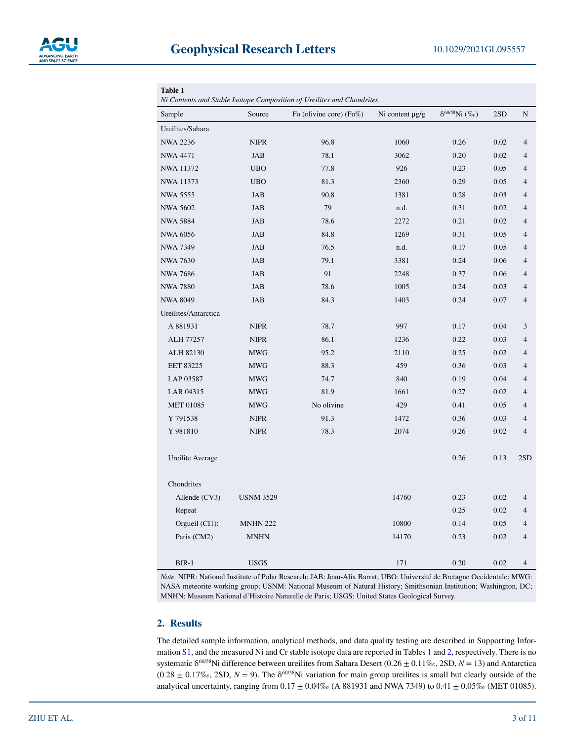

| <b>Table 1</b><br>Ni Contents and Stable Isotope Composition of Ureilites and Chondrites |                  |                         |                      |                          |      |                          |  |  |  |  |
|------------------------------------------------------------------------------------------|------------------|-------------------------|----------------------|--------------------------|------|--------------------------|--|--|--|--|
| Source<br>Sample                                                                         |                  | Fo (olivine core) (Fo%) | Ni content $\mu$ g/g | $\delta^{60/58}$ Ni (%o) | 2SD  | N                        |  |  |  |  |
| Ureilites/Sahara                                                                         |                  |                         |                      |                          |      |                          |  |  |  |  |
| <b>NWA 2236</b>                                                                          | <b>NIPR</b>      | 96.8                    | 1060                 | 0.26                     | 0.02 | $\overline{4}$           |  |  |  |  |
| <b>NWA 4471</b>                                                                          | <b>JAB</b>       | 78.1                    | 3062                 | 0.20                     | 0.02 | $\overline{4}$           |  |  |  |  |
| NWA 11372                                                                                | <b>UBO</b>       | 77.8                    | 926                  | 0.23                     | 0.05 | $\overline{4}$           |  |  |  |  |
| NWA 11373                                                                                | <b>UBO</b>       | 81.3                    | 2360                 | 0.29                     | 0.05 | $\overline{4}$           |  |  |  |  |
| NWA 5555                                                                                 | <b>JAB</b>       | 90.8                    | 1381                 | 0.28                     | 0.03 | $\overline{4}$           |  |  |  |  |
| <b>NWA 5602</b>                                                                          | <b>JAB</b>       | 79                      | n.d.                 | 0.31                     | 0.02 | $\overline{4}$           |  |  |  |  |
| <b>NWA 5884</b>                                                                          | <b>JAB</b>       | 78.6                    | 2272                 | 0.21                     | 0.02 | $\overline{4}$           |  |  |  |  |
| <b>NWA 6056</b>                                                                          | JAB              | 84.8                    | 1269                 | 0.31                     | 0.05 | $\overline{4}$           |  |  |  |  |
| <b>NWA 7349</b>                                                                          | JAB              | 76.5                    | n.d.                 | 0.17                     | 0.05 | $\overline{4}$           |  |  |  |  |
| <b>NWA 7630</b>                                                                          | <b>JAB</b>       | 79.1                    | 3381                 | 0.24                     | 0.06 | $\overline{4}$           |  |  |  |  |
| <b>NWA 7686</b>                                                                          | <b>JAB</b>       | 91                      | 2248                 | 0.37                     | 0.06 | $\overline{4}$           |  |  |  |  |
| <b>NWA 7880</b>                                                                          | <b>JAB</b>       | 78.6                    | 1005                 | 0.24                     | 0.03 | $\overline{4}$           |  |  |  |  |
| <b>NWA 8049</b>                                                                          | JAB              | 84.3                    | 1403                 | 0.24                     | 0.07 | $\overline{4}$           |  |  |  |  |
| Ureilites/Antarctica                                                                     |                  |                         |                      |                          |      |                          |  |  |  |  |
| A 881931                                                                                 | <b>NIPR</b>      | 78.7                    | 997                  | 0.17                     | 0.04 | 3                        |  |  |  |  |
| ALH 77257                                                                                | <b>NIPR</b>      | 86.1                    | 1236                 | 0.22                     | 0.03 | $\overline{\mathcal{L}}$ |  |  |  |  |
| ALH 82130                                                                                | <b>MWG</b>       | 95.2                    | 2110                 | 0.25                     | 0.02 | $\overline{4}$           |  |  |  |  |
| <b>EET 83225</b>                                                                         | <b>MWG</b>       | 88.3                    | 459                  | 0.36                     | 0.03 | $\overline{4}$           |  |  |  |  |
| LAP 03587                                                                                | <b>MWG</b>       | 74.7                    | 840                  | 0.19                     | 0.04 | $\overline{4}$           |  |  |  |  |
| LAR 04315                                                                                | <b>MWG</b>       | 81.9                    | 1661                 | 0.27                     | 0.02 | $\overline{4}$           |  |  |  |  |
| <b>MET 01085</b>                                                                         | <b>MWG</b>       | No olivine              | 429                  | 0.41                     | 0.05 | $\overline{4}$           |  |  |  |  |
| Y 791538                                                                                 | <b>NIPR</b>      | 91.3                    | 1472                 | 0.36                     | 0.03 | $\overline{4}$           |  |  |  |  |
| Y 981810                                                                                 | <b>NIPR</b>      | 78.3                    | 2074                 | 0.26                     | 0.02 | $\overline{\mathcal{L}}$ |  |  |  |  |
| Ureilite Average                                                                         |                  |                         |                      | 0.26                     | 0.13 | 2SD                      |  |  |  |  |
| Chondrites                                                                               |                  |                         |                      |                          |      |                          |  |  |  |  |
| Allende (CV3)                                                                            | <b>USNM 3529</b> |                         | 14760                | 0.23                     | 0.02 | $\overline{4}$           |  |  |  |  |
| Repeat                                                                                   |                  |                         |                      | 0.25                     | 0.02 | $\overline{4}$           |  |  |  |  |
| Orgueil (CI1):                                                                           | <b>MNHN 222</b>  |                         | 10800                | 0.14                     | 0.05 | $\overline{4}$           |  |  |  |  |
| Paris (CM2)                                                                              | <b>MNHN</b>      |                         | 14170                | 0.23                     | 0.02 | $\overline{4}$           |  |  |  |  |
| $BIR-1$                                                                                  | <b>USGS</b>      |                         | 171                  | 0.20                     | 0.02 | 4                        |  |  |  |  |

*Note.* NIPR: National Institute of Polar Research; JAB: Jean-Alix Barrat; UBO: Université de Bretagne Occidentale; MWG: NASA meteorite working group; USNM: National Museum of Natural History; Smithsonian Institution; Washington, DC; MNHN: Museum National d'Histoire Naturelle de Paris; USGS: United States Geological Survey.

## **2. Results**

The detailed sample information, analytical methods, and data quality testing are described in Supporting Information S1, and the measured Ni and Cr stable isotope data are reported in Tables 1 and 2, respectively. There is no systematic δ60/58Ni difference between ureilites from Sahara Desert (0.26 ± 0.11‰, 2SD, *N* = 13) and Antarctica  $(0.28 \pm 0.17\%, 2SD, N = 9)$ . The  $\delta^{60/58}$ Ni variation for main group ureilites is small but clearly outside of the analytical uncertainty, ranging from  $0.17 \pm 0.04\%$  (A 881931 and NWA 7349) to  $0.41 \pm 0.05\%$  (MET 01085).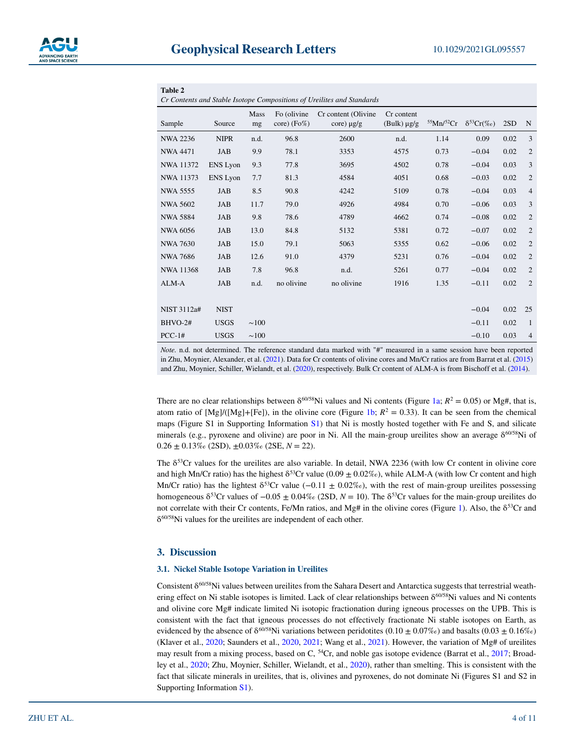| Table 2                                                                |                 |            |                              |                                        |                                |                  |                      |      |                |  |  |  |
|------------------------------------------------------------------------|-----------------|------------|------------------------------|----------------------------------------|--------------------------------|------------------|----------------------|------|----------------|--|--|--|
| Cr Contents and Stable Isotope Compositions of Ureilites and Standards |                 |            |                              |                                        |                                |                  |                      |      |                |  |  |  |
| Sample                                                                 | Source          | Mass<br>mg | Fo (olivine<br>$core)$ (Fo%) | Cr content (Olivine<br>$core) \mu g/g$ | Cr content<br>$(Bulk) \mu g/g$ | $55$ Mn/ $52$ Cr | $\delta^{53}Cr(\%o)$ | 2SD  | N              |  |  |  |
| <b>NWA 2236</b>                                                        | <b>NIPR</b>     | n.d.       | 96.8                         | 2600                                   | n.d.                           | 1.14             | 0.09                 | 0.02 | $\overline{3}$ |  |  |  |
| <b>NWA 4471</b>                                                        | <b>JAB</b>      | 9.9        | 78.1                         | 3353                                   | 4575                           | 0.73             | $-0.04$              | 0.02 | $\overline{2}$ |  |  |  |
| <b>NWA 11372</b>                                                       | <b>ENS</b> Lyon | 9.3        | 77.8                         | 3695                                   | 4502                           | 0.78             | $-0.04$              | 0.03 | 3              |  |  |  |
| NWA 11373                                                              | <b>ENS</b> Lyon | 7.7        | 81.3                         | 4584                                   | 4051                           | 0.68             | $-0.03$              | 0.02 | $\overline{2}$ |  |  |  |
| NWA 5555                                                               | <b>JAB</b>      | 8.5        | 90.8                         | 4242                                   | 5109                           | 0.78             | $-0.04$              | 0.03 | $\overline{4}$ |  |  |  |
| <b>NWA 5602</b>                                                        | <b>JAB</b>      | 11.7       | 79.0                         | 4926                                   | 4984                           | 0.70             | $-0.06$              | 0.03 | 3              |  |  |  |
| <b>NWA 5884</b>                                                        | <b>JAB</b>      | 9.8        | 78.6                         | 4789                                   | 4662                           | 0.74             | $-0.08$              | 0.02 | $\overline{2}$ |  |  |  |
| <b>NWA 6056</b>                                                        | <b>JAB</b>      | 13.0       | 84.8                         | 5132                                   | 5381                           | 0.72             | $-0.07$              | 0.02 | $\overline{2}$ |  |  |  |
| <b>NWA 7630</b>                                                        | <b>JAB</b>      | 15.0       | 79.1                         | 5063                                   | 5355                           | 0.62             | $-0.06$              | 0.02 | $\overline{2}$ |  |  |  |
| <b>NWA 7686</b>                                                        | JAB             | 12.6       | 91.0                         | 4379                                   | 5231                           | 0.76             | $-0.04$              | 0.02 | $\overline{2}$ |  |  |  |
| NWA 11368                                                              | JAB             | 7.8        | 96.8                         | n.d.                                   | 5261                           | 0.77             | $-0.04$              | 0.02 | $\overline{2}$ |  |  |  |
| ALM-A                                                                  | <b>JAB</b>      | n.d.       | no olivine                   | no olivine                             | 1916                           | 1.35             | $-0.11$              | 0.02 | $\overline{2}$ |  |  |  |
|                                                                        |                 |            |                              |                                        |                                |                  |                      |      |                |  |  |  |
| NIST 3112a#                                                            | <b>NIST</b>     |            |                              |                                        |                                |                  | $-0.04$              | 0.02 | 25             |  |  |  |
| $BHVO-2#$                                                              | <b>USGS</b>     | $\sim 100$ |                              |                                        |                                |                  | $-0.11$              | 0.02 | 1              |  |  |  |
| $PCC-1#$                                                               | <b>USGS</b>     | $\sim 100$ |                              |                                        |                                |                  | $-0.10$              | 0.03 | $\overline{4}$ |  |  |  |

*Note.* n.d. not determined. The reference standard data marked with "#" measured in a same session have been reported in Zhu, Moynier, Alexander, et al. (2021). Data for Cr contents of olivine cores and Mn/Cr ratios are from Barrat et al. (2015) and Zhu, Moynier, Schiller, Wielandt, et al. (2020), respectively. Bulk Cr content of ALM-A is from Bischoff et al. (2014).

There are no clear relationships between  $\delta^{60/58}$ Ni values and Ni contents (Figure 1a;  $R^2 = 0.05$ ) or Mg#, that is, atom ratio of  $[Mg]/([Mg]+[Fe])$ , in the olivine core (Figure 1b;  $R^2 = 0.33$ ). It can be seen from the chemical maps (Figure S1 in Supporting Information S1) that Ni is mostly hosted together with Fe and S, and silicate minerals (e.g., pyroxene and olivine) are poor in Ni. All the main-group ureilites show an average  $\delta^{60/58}$ Ni of  $0.26 \pm 0.13\%$  (2SD),  $\pm 0.03\%$  (2SE,  $N = 22$ ).

The  $\delta^{53}$ Cr values for the ureilites are also variable. In detail, NWA 2236 (with low Cr content in olivine core and high Mn/Cr ratio) has the highest  $\delta^{53}$ Cr value (0.09  $\pm$  0.02‰), while ALM-A (with low Cr content and high Mn/Cr ratio) has the lightest  $\delta^{53}$ Cr value (-0.11  $\pm$  0.02‰), with the rest of main-group ureilites possessing homogeneous δ53Cr values of −0.05 ± 0.04‰ (2SD, *N* = 10). The δ53Cr values for the main-group ureilites do not correlate with their Cr contents, Fe/Mn ratios, and Mg# in the olivine cores (Figure 1). Also, the  $\delta^{53}$ Cr and δ60/58Ni values for the ureilites are independent of each other.

#### **3. Discussion**

#### **3.1. Nickel Stable Isotope Variation in Ureilites**

Consistent δ60/58Ni values between ureilites from the Sahara Desert and Antarctica suggests that terrestrial weathering effect on Ni stable isotopes is limited. Lack of clear relationships between  $\delta^{60/58}$ Ni values and Ni contents and olivine core Mg# indicate limited Ni isotopic fractionation during igneous processes on the UPB. This is consistent with the fact that igneous processes do not effectively fractionate Ni stable isotopes on Earth, as evidenced by the absence of  $\delta^{60/58}$ Ni variations between peridotites (0.10 ± 0.07‰) and basalts (0.03 ± 0.16‰) (Klaver et al., 2020; Saunders et al., 2020, 2021; Wang et al., 2021). However, the variation of Mg# of ureilites may result from a mixing process, based on C,  $^{54}$ Cr, and noble gas isotope evidence (Barrat et al., 2017; Broadley et al., 2020; Zhu, Moynier, Schiller, Wielandt, et al., 2020), rather than smelting. This is consistent with the fact that silicate minerals in ureilites, that is, olivines and pyroxenes, do not dominate Ni (Figures S1 and S2 in Supporting Information S1).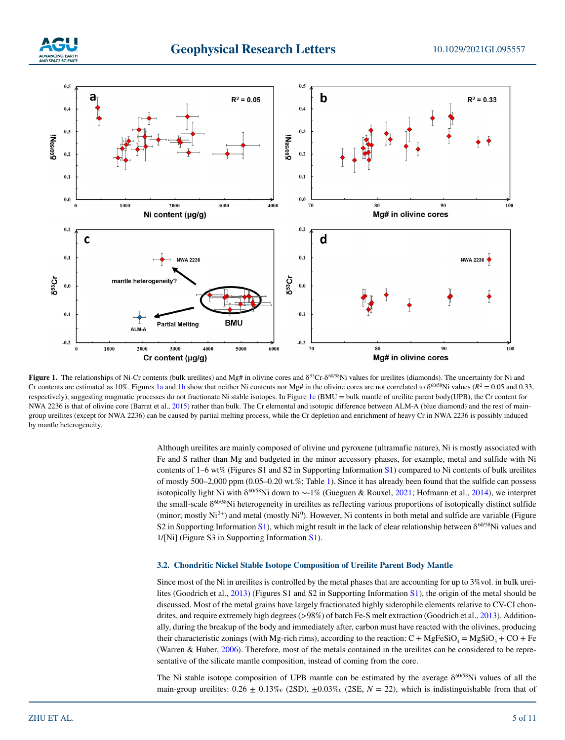



**Figure 1.** The relationships of Ni-Cr contents (bulk ureilites) and  $Mg$ # in olivine cores and  $\delta^{53}Cr-\delta^{60/58}Ni$  values for ureilites (diamonds). The uncertainty for Ni and Cr contents are estimated as 10%. Figures 1a and 1b show that neither Ni contents nor Mg# in the olivine cores are not correlated to  $\delta^{60/58}$ Ni values ( $R^2 = 0.05$  and 0.33, respectively), suggesting magmatic processes do not fractionate Ni stable isotopes. In Figure 1c (BMU = bulk mantle of ureilite parent body(UPB), the Cr content for NWA 2236 is that of olivine core (Barrat et al., 2015) rather than bulk. The Cr elemental and isotopic difference between ALM-A (blue diamond) and the rest of maingroup ureilites (except for NWA 2236) can be caused by partial melting process, while the Cr depletion and enrichment of heavy Cr in NWA 2236 is possibly induced by mantle heterogeneity.

Although ureilites are mainly composed of olivine and pyroxene (ultramafic nature), Ni is mostly associated with Fe and S rather than Mg and budgeted in the minor accessory phases, for example, metal and sulfide with Ni contents of 1–6 wt% (Figures S1 and S2 in Supporting Information S1) compared to Ni contents of bulk ureilites of mostly 500–2,000 ppm (0.05–0.20 wt.%; Table 1). Since it has already been found that the sulfide can possess isotopically light Ni with δ<sup>60/58</sup>Ni down to ~-1% (Gueguen & Rouxel, 2021; Hofmann et al., 2014), we interpret the small-scale  $\delta^{60/58}$ Ni heterogeneity in ureilites as reflecting various proportions of isotopically distinct sulfide (minor; mostly  $Ni<sup>2+</sup>$ ) and metal (mostly  $Ni<sup>0</sup>$ ). However, Ni contents in both metal and sulfide are variable (Figure S2 in Supporting Information S1), which might result in the lack of clear relationship between  $\delta^{60/58}$ Ni values and 1/[Ni] (Figure S3 in Supporting Information S1).

#### **3.2. Chondritic Nickel Stable Isotope Composition of Ureilite Parent Body Mantle**

Since most of the Ni in ureilites is controlled by the metal phases that are accounting for up to 3%vol. in bulk ureilites (Goodrich et al., 2013) (Figures S1 and S2 in Supporting Information S1), the origin of the metal should be discussed. Most of the metal grains have largely fractionated highly siderophile elements relative to CV-CI chondrites, and require extremely high degrees (>98%) of batch Fe-S melt extraction (Goodrich et al., 2013). Additionally, during the breakup of the body and immediately after, carbon must have reacted with the olivines, producing their characteristic zonings (with Mg-rich rims), according to the reaction: C + MgFeSiO<sub>4</sub> = MgSiO<sub>3</sub> + CO + Fe (Warren & Huber, 2006). Therefore, most of the metals contained in the ureilites can be considered to be representative of the silicate mantle composition, instead of coming from the core.

The Ni stable isotope composition of UPB mantle can be estimated by the average  $\delta^{60/58}$ Ni values of all the main-group ureilites:  $0.26 \pm 0.13\%$  (2SD),  $\pm 0.03\%$  (2SE,  $N = 22$ ), which is indistinguishable from that of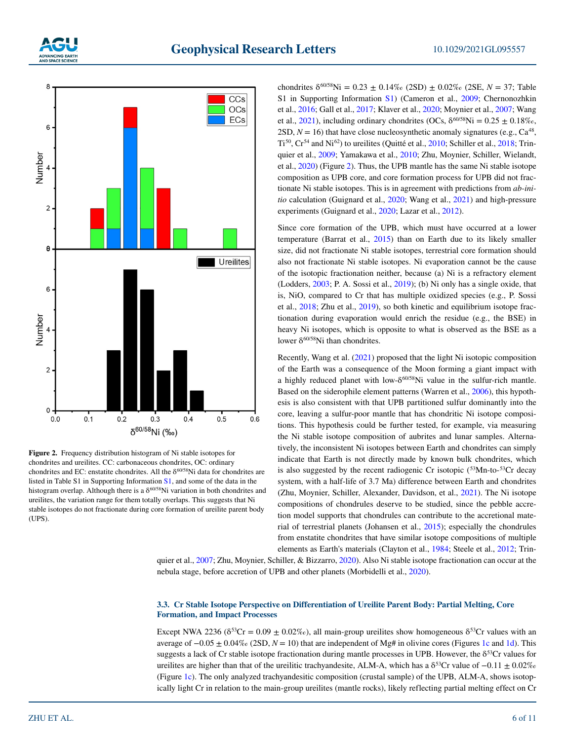



**Figure 2.** Frequency distribution histogram of Ni stable isotopes for chondrites and ureilites. CC: carbonaceous chondrites, OC: ordinary chondrites and EC: enstatite chondrites. All the  $\delta^{60/58}$ Ni data for chondrites are listed in Table S1 in Supporting Information S1, and some of the data in the histogram overlap. Although there is a  $\delta^{60/58}$ Ni variation in both chondrites and ureilites, the variation range for them totally overlaps. This suggests that Ni stable isotopes do not fractionate during core formation of ureilite parent body (UPS).

chondrites  $\delta^{60/58}$ Ni = 0.23 ± 0.14‰ (2SD) ± 0.02‰ (2SE, *N* = 37; Table S1 in Supporting Information S1) (Cameron et al., 2009; Chernonozhkin et al., 2016; Gall et al., 2017; Klaver et al., 2020; Moynier et al., 2007; Wang et al.,  $2021$ ), including ordinary chondrites (OCs,  $\delta^{60/58}$ Ni = 0.25  $\pm$  0.18‰, 2SD,  $N = 16$ ) that have close nucleosynthetic anomaly signatures (e.g.,  $Ca^{48}$ , Ti50, Cr54 and Ni62) to ureilites (Quitté et al., 2010; Schiller et al., 2018; Trinquier et al., 2009; Yamakawa et al., 2010; Zhu, Moynier, Schiller, Wielandt, et al., 2020) (Figure 2). Thus, the UPB mantle has the same Ni stable isotope composition as UPB core, and core formation process for UPB did not fractionate Ni stable isotopes. This is in agreement with predictions from *ab-initio* calculation (Guignard et al., 2020; Wang et al., 2021) and high-pressure experiments (Guignard et al., 2020; Lazar et al., 2012).

Since core formation of the UPB, which must have occurred at a lower temperature (Barrat et al., 2015) than on Earth due to its likely smaller size, did not fractionate Ni stable isotopes, terrestrial core formation should also not fractionate Ni stable isotopes. Ni evaporation cannot be the cause of the isotopic fractionation neither, because (a) Ni is a refractory element (Lodders, 2003; P. A. Sossi et al., 2019); (b) Ni only has a single oxide, that is, NiO, compared to Cr that has multiple oxidized species (e.g., P. Sossi et al., 2018; Zhu et al., 2019), so both kinetic and equilibrium isotope fractionation during evaporation would enrich the residue (e.g., the BSE) in heavy Ni isotopes, which is opposite to what is observed as the BSE as a lower  $\delta^{60/58}$ Ni than chondrites.

Recently, Wang et al. (2021) proposed that the light Ni isotopic composition of the Earth was a consequence of the Moon forming a giant impact with a highly reduced planet with low- $\delta^{60/58}$ Ni value in the sulfur-rich mantle. Based on the siderophile element patterns (Warren et al., 2006), this hypothesis is also consistent with that UPB partitioned sulfur dominantly into the core, leaving a sulfur-poor mantle that has chondritic Ni isotope compositions. This hypothesis could be further tested, for example, via measuring the Ni stable isotope composition of aubrites and lunar samples. Alternatively, the inconsistent Ni isotopes between Earth and chondrites can simply indicate that Earth is not directly made by known bulk chondrites, which is also suggested by the recent radiogenic Cr isotopic  $(^{53}Mn$ -to- $^{53}Cr$  decay system, with a half-life of 3.7 Ma) difference between Earth and chondrites (Zhu, Moynier, Schiller, Alexander, Davidson, et al., 2021). The Ni isotope compositions of chondrules deserve to be studied, since the pebble accretion model supports that chondrules can contribute to the accretional material of terrestrial planets (Johansen et al., 2015); especially the chondrules from enstatite chondrites that have similar isotope compositions of multiple elements as Earth's materials (Clayton et al., 1984; Steele et al., 2012; Trinquier et al., 2007; Zhu, Moynier, Schiller, & Bizzarro, 2020). Also Ni stable isotope fractionation can occur at the

nebula stage, before accretion of UPB and other planets (Morbidelli et al., 2020).

### **3.3. Cr Stable Isotope Perspective on Differentiation of Ureilite Parent Body: Partial Melting, Core Formation, and Impact Processes**

Except NWA 2236 ( $\delta^{53}Cr = 0.09 \pm 0.02\%$ ), all main-group ureilites show homogeneous  $\delta^{53}Cr$  values with an average of −0.05 ± 0.04‰ (2SD, *N* = 10) that are independent of Mg# in olivine cores (Figures 1c and 1d). This suggests a lack of Cr stable isotope fractionation during mantle processes in UPB. However, the  $\delta^{53}$ Cr values for ureilites are higher than that of the ureilitic trachyandesite, ALM-A, which has a  $\delta^{53}$ Cr value of  $-0.11 \pm 0.02\%$ (Figure 1c). The only analyzed trachyandesitic composition (crustal sample) of the UPB, ALM-A, shows isotopically light Cr in relation to the main-group ureilites (mantle rocks), likely reflecting partial melting effect on Cr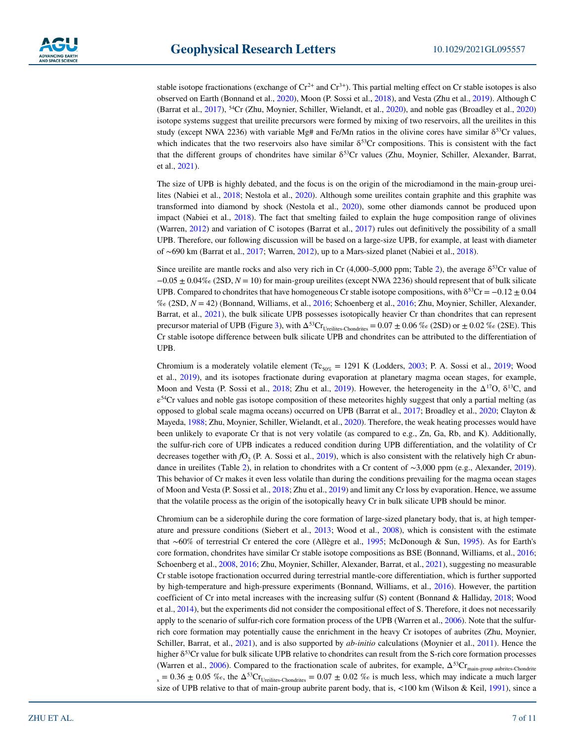stable isotope fractionations (exchange of  $Cr^{2+}$  and  $Cr^{3+}$ ). This partial melting effect on Cr stable isotopes is also observed on Earth (Bonnand et al., 2020), Moon (P. Sossi et al., 2018), and Vesta (Zhu et al., 2019). Although C (Barrat et al., 2017), 54Cr (Zhu, Moynier, Schiller, Wielandt, et al., 2020), and noble gas (Broadley et al., 2020) isotope systems suggest that ureilite precursors were formed by mixing of two reservoirs, all the ureilites in this study (except NWA 2236) with variable Mg# and Fe/Mn ratios in the olivine cores have similar  $\delta^{53}$ Cr values, which indicates that the two reservoirs also have similar  $\delta^{53}$ Cr compositions. This is consistent with the fact that the different groups of chondrites have similar δ<sup>53</sup>Cr values (Zhu, Moynier, Schiller, Alexander, Barrat, et al., 2021).

The size of UPB is highly debated, and the focus is on the origin of the microdiamond in the main-group ureilites (Nabiei et al., 2018; Nestola et al., 2020). Although some ureilites contain graphite and this graphite was transformed into diamond by shock (Nestola et al., 2020), some other diamonds cannot be produced upon impact (Nabiei et al., 2018). The fact that smelting failed to explain the huge composition range of olivines (Warren, 2012) and variation of C isotopes (Barrat et al., 2017) rules out definitively the possibility of a small UPB. Therefore, our following discussion will be based on a large-size UPB, for example, at least with diameter of ∼690 km (Barrat et al., 2017; Warren, 2012), up to a Mars-sized planet (Nabiei et al., 2018).

Since ureilite are mantle rocks and also very rich in Cr  $(4,000-5,000)$  ppm; Table 2), the average  $\delta^{53}$ Cr value of −0.05 ± 0.04‰ (2SD, *N* = 10) for main-group ureilites (except NWA 2236) should represent that of bulk silicate UPB. Compared to chondrites that have homogeneous Cr stable isotope compositions, with  $\delta^{53}Cr = -0.12 \pm 0.04$ ‰ (2SD, *N* = 42) (Bonnand, Williams, et al., 2016; Schoenberg et al., 2016; Zhu, Moynier, Schiller, Alexander, Barrat, et al., 2021), the bulk silicate UPB possesses isotopically heavier Cr than chondrites that can represent precursor material of UPB (Figure 3), with  $\Delta^{53}Cr$ <sub>Ureilites-Chondrites</sub> = 0.07  $\pm$  0.06 ‰ (2SD) or  $\pm$  0.02 ‰ (2SE). This Cr stable isotope difference between bulk silicate UPB and chondrites can be attributed to the differentiation of UPB.

Chromium is a moderately volatile element  $(Tc_{50\%} = 1291 \text{ K}$  (Lodders, 2003; P. A. Sossi et al., 2019; Wood et al., 2019), and its isotopes fractionate during evaporation at planetary magma ocean stages, for example, Moon and Vesta (P. Sossi et al., 2018; Zhu et al., 2019). However, the heterogeneity in the  $\Delta^{17}O$ ,  $\delta^{13}C$ , and  $\varepsilon^{54}$ Cr values and noble gas isotope composition of these meteorites highly suggest that only a partial melting (as opposed to global scale magma oceans) occurred on UPB (Barrat et al., 2017; Broadley et al., 2020; Clayton & Mayeda, 1988; Zhu, Moynier, Schiller, Wielandt, et al., 2020). Therefore, the weak heating processes would have been unlikely to evaporate Cr that is not very volatile (as compared to e.g., Zn, Ga, Rb, and K). Additionally, the sulfur-rich core of UPB indicates a reduced condition during UPB differentiation, and the volatility of Cr decreases together with  $fO<sub>2</sub>$  (P. A. Sossi et al., 2019), which is also consistent with the relatively high Cr abundance in ureilites (Table 2), in relation to chondrites with a Cr content of ∼3,000 ppm (e.g., Alexander, 2019). This behavior of Cr makes it even less volatile than during the conditions prevailing for the magma ocean stages of Moon and Vesta (P. Sossi et al., 2018; Zhu et al., 2019) and limit any Cr loss by evaporation. Hence, we assume that the volatile process as the origin of the isotopically heavy Cr in bulk silicate UPB should be minor.

Chromium can be a siderophile during the core formation of large-sized planetary body, that is, at high temperature and pressure conditions (Siebert et al., 2013; Wood et al., 2008), which is consistent with the estimate that ∼60% of terrestrial Cr entered the core (Allègre et al., 1995; McDonough & Sun, 1995). As for Earth's core formation, chondrites have similar Cr stable isotope compositions as BSE (Bonnand, Williams, et al., 2016; Schoenberg et al., 2008, 2016; Zhu, Moynier, Schiller, Alexander, Barrat, et al., 2021), suggesting no measurable Cr stable isotope fractionation occurred during terrestrial mantle-core differentiation, which is further supported by high-temperature and high-pressure experiments (Bonnand, Williams, et al., 2016). However, the partition coefficient of Cr into metal increases with the increasing sulfur (S) content (Bonnand & Halliday, 2018; Wood et al., 2014), but the experiments did not consider the compositional effect of S. Therefore, it does not necessarily apply to the scenario of sulfur-rich core formation process of the UPB (Warren et al., 2006). Note that the sulfurrich core formation may potentially cause the enrichment in the heavy Cr isotopes of aubrites (Zhu, Moynier, Schiller, Barrat, et al., 2021), and is also supported by *ab-initio* calculations (Moynier et al., 2011). Hence the higher δ53Cr value for bulk silicate UPB relative to chondrites can result from the S-rich core formation processes (Warren et al., 2006). Compared to the fractionation scale of aubrites, for example,  $\Delta^{53}Cr_{\text{main-group}}$  aubrites-Chondrite  $s_s = 0.36 \pm 0.05$  % $o$ , the  $\Delta^{53}$ Cr<sub>Ureilites-Chondrites</sub> = 0.07  $\pm$  0.02 % $o$  is much less, which may indicate a much larger size of UPB relative to that of main-group aubrite parent body, that is, <100 km (Wilson & Keil, 1991), since a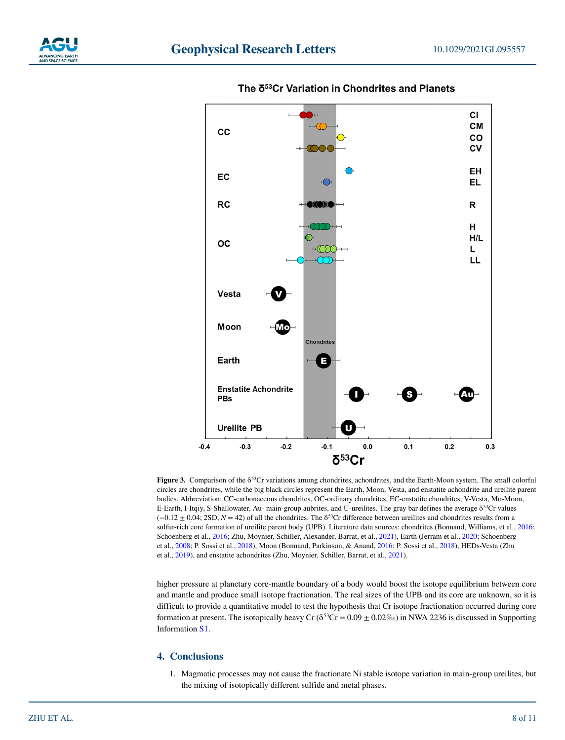



# The δ<sup>53</sup>Cr Variation in Chondrites and Planets

**Figure 3.** Comparison of the  $\delta^{53}$ Cr variations among chondrites, achondrites, and the Earth-Moon system. The small colorful circles are chondrites, while the big black circles represent the Earth, Moon, Vesta, and enstatite achondrite and ureilite parent bodies. Abbreviation: CC-carbonaceous chondrites, OC-ordinary chondrites, EC-enstatite chondrites, V-Vesta, Mo-Moon, E-Earth, I-Itqiy, S-Shallowater, Au- main-group aubrites, and U-ureilites. The gray bar defines the average δ53Cr values (−0.12 ± 0.04; 2SD, *N* = 42) of all the chondrites. The δ53Cr difference between ureilites and chondrites results from a sulfur-rich core formation of ureilite parent body (UPB). Literature data sources: chondrites (Bonnand, Williams, et al., 2016; Schoenberg et al., 2016; Zhu, Moynier, Schiller, Alexander, Barrat, et al., 2021), Earth (Jerram et al., 2020; Schoenberg et al., 2008; P. Sossi et al., 2018), Moon (Bonnand, Parkinson, & Anand, 2016; P. Sossi et al., 2018), HEDs-Vesta (Zhu et al., 2019), and enstatite achondrites (Zhu, Moynier, Schiller, Barrat, et al., 2021).

higher pressure at planetary core-mantle boundary of a body would boost the isotope equilibrium between core and mantle and produce small isotope fractionation. The real sizes of the UPB and its core are unknown, so it is difficult to provide a quantitative model to test the hypothesis that Cr isotope fractionation occurred during core formation at present. The isotopically heavy Cr ( $\delta^{53}$ Cr = 0.09  $\pm$  0.02‰) in NWA 2236 is discussed in Supporting Information S1.

## **4. Conclusions**

1. Magmatic processes may not cause the fractionate Ni stable isotope variation in main-group ureilites, but the mixing of isotopically different sulfide and metal phases.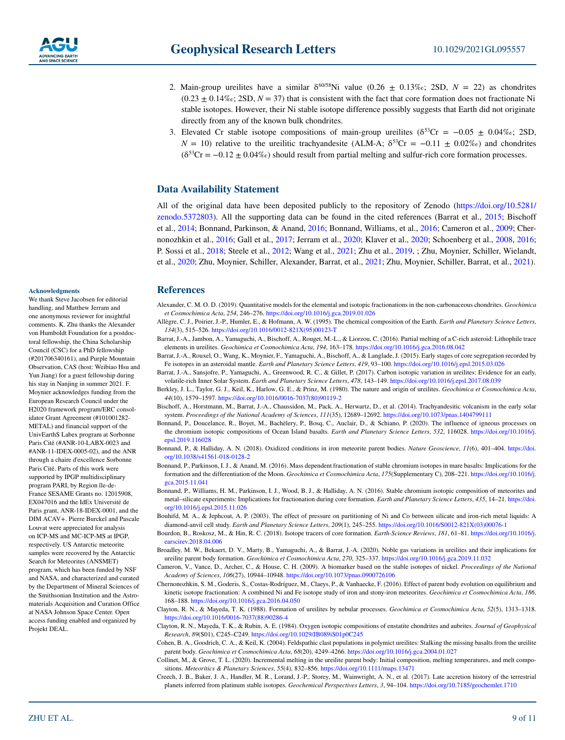- 2. Main-group ureilites have a similar  $\delta^{60/58}$ Ni value (0.26  $\pm$  0.13‰; 2SD,  $N = 22$ ) as chondrites  $(0.23 \pm 0.14\%)$ ; 2SD,  $N = 37$ ) that is consistent with the fact that core formation does not fractionate Ni stable isotopes. However, their Ni stable isotope difference possibly suggests that Earth did not originate directly from any of the known bulk chondrites.
- 3. Elevated Cr stable isotope compositions of main-group ureilites ( $\delta^{53}Cr = -0.05 \pm 0.04\%$ ; 2SD,  $N = 10$ ) relative to the ureilitic trachyandesite (ALM-A;  $\delta^{53}Cr = -0.11 \pm 0.02\%$ ) and chondrites  $(δ<sup>53</sup>Cr = -0.12 ± 0.04%)$  should result from partial melting and sulfur-rich core formation processes.

#### **Data Availability Statement**

All of the original data have been deposited publicly to the repository of Zenodo ([https://doi.org/10.5281/](https://doi.org/10.5281/zenodo.5372803) [zenodo.5372803\)](https://doi.org/10.5281/zenodo.5372803). All the supporting data can be found in the cited references (Barrat et al., 2015; Bischoff et al., 2014; Bonnand, Parkinson, & Anand, 2016; Bonnand, Williams, et al., 2016; Cameron et al., 2009; Chernonozhkin et al., 2016; Gall et al., 2017; Jerram et al., 2020; Klaver et al., 2020; Schoenberg et al., 2008, 2016; P. Sossi et al., 2018; Steele et al., 2012; Wang et al., 2021; Zhu et al., 2019, ; Zhu, Moynier, Schiller, Wielandt, et al., 2020; Zhu, Moynier, Schiller, Alexander, Barrat, et al., 2021; Zhu, Moynier, Schiller, Barrat, et al., 2021).

### **References**

- Alexander, C. M. O. D. (2019). Quantitative models for the elemental and isotopic fractionations in the non-carbonaceous chondrites. *Geochimica et Cosmochimica Acta*, *254*, 246–276.<https://doi.org/10.1016/j.gca.2019.01.026>
- Allègre, C. J., Poirier, J.-P., Humler, E., & Hofmann, A. W. (1995). The chemical composition of the Earth. *Earth and Planetary Science Letters*, *134*(3), 515–526. [https://doi.org/10.1016/0012-821X\(95\)00123-T](https://doi.org/10.1016/0012-821X(95)00123-T)
- Barrat, J.-A., Jambon, A., Yamaguchi, A., Bischoff, A., Rouget, M.-L., & Liorzou, C. (2016). Partial melting of a C-rich asteroid: Lithophile trace elements in ureilites. *Geochimica et Cosmochimica Acta*, *194*, 163–178.<https://doi.org/10.1016/j.gca.2016.08.042>
- Barrat, J.-A., Rouxel, O., Wang, K., Moynier, F., Yamaguchi, A., Bischoff, A., & Langlade, J. (2015). Early stages of core segregation recorded by Fe isotopes in an asteroidal mantle. *Earth and Planetary Science Letters*, *419*, 93–100.<https://doi.org/10.1016/j.epsl.2015.03.026>
- Barrat, J.-A., Sansjofre, P., Yamaguchi, A., Greenwood, R. C., & Gillet, P. (2017). Carbon isotopic variation in ureilites: Evidence for an early, volatile-rich Inner Solar System. *Earth and Planetary Science Letters*, *478*, 143–149.<https://doi.org/10.1016/j.epsl.2017.08.039>
- Berkley, J. L., Taylor, G. J., Keil, K., Harlow, G. E., & Prinz, M. (1980). The nature and origin of ureilites. *Geochimica et Cosmochimica Acta*, *44*(10), 1579–1597. [https://doi.org/10.1016/0016-7037\(80\)90119-2](https://doi.org/10.1016/0016-7037(80)90119-2)
- Bischoff, A., Horstmann, M., Barrat, J.-A., Chaussidon, M., Pack, A., Herwartz, D., et al. (2014). Trachyandesitic volcanism in the early solar system. *Proceedings of the National Academy of Sciences*, *111*(35), 12689–12692. <https://doi.org/10.1073/pnas.1404799111>
- Bonnand, P., Doucelance, R., Boyet, M., Bachèlery, P., Bosq, C., Auclair, D., & Schiano, P. (2020). The influence of igneous processes on the chromium isotopic compositions of Ocean Island basalts. *Earth and Planetary Science Letters*, *532*, 116028. [https://doi.org/10.1016/j.](https://doi.org/10.1016/j.epsl.2019.116028) [epsl.2019.116028](https://doi.org/10.1016/j.epsl.2019.116028)
- Bonnand, P., & Halliday, A. N. (2018). Oxidized conditions in iron meteorite parent bodies. *Nature Geoscience*, *11*(6), 401–404. [https://doi.](https://doi.org/10.1038/s41561-018-0128-2) [org/10.1038/s41561-018-0128-2](https://doi.org/10.1038/s41561-018-0128-2)
- Bonnand, P., Parkinson, I. J., & Anand, M. (2016). Mass dependent fractionation of stable chromium isotopes in mare basalts: Implications for the formation and the differentiation of the Moon. *Geochimica et Cosmochimica Acta*, *175*(Supplementary C), 208–221. [https://doi.org/10.1016/j.](https://doi.org/10.1016/j.gca.2015.11.041) [gca.2015.11.041](https://doi.org/10.1016/j.gca.2015.11.041)
- Bonnand, P., Williams, H. M., Parkinson, I. J., Wood, B. J., & Halliday, A. N. (2016). Stable chromium isotopic composition of meteorites and metal–silicate experiments: Implications for fractionation during core formation. *Earth and Planetary Science Letters*, *435*, 14–21. [https://doi.](https://doi.org/10.1016/j.epsl.2015.11.026) [org/10.1016/j.epsl.2015.11.026](https://doi.org/10.1016/j.epsl.2015.11.026)
- Bouhifd, M. A., & Jephcoat, A. P. (2003). The effect of pressure on partitioning of Ni and Co between silicate and iron-rich metal liquids: A diamond-anvil cell study. *Earth and Planetary Science Letters*, *209*(1), 245–255. [https://doi.org/10.1016/S0012-821X\(03\)00076-1](https://doi.org/10.1016/S0012-821X(03)00076-1)
- Bourdon, B., Roskosz, M., & Hin, R. C. (2018). Isotope tracers of core formation. *Earth-Science Reviews*, *181*, 61–81. [https://doi.org/10.1016/j.](https://doi.org/10.1016/j.earscirev.2018.04.006) [earscirev.2018.04.006](https://doi.org/10.1016/j.earscirev.2018.04.006)
- Broadley, M. W., Bekaert, D. V., Marty, B., Yamaguchi, A., & Barrat, J.-A. (2020). Noble gas variations in ureilites and their implications for ureilite parent body formation. *Geochimica et Cosmochimica Acta*, *270*, 325–337.<https://doi.org/10.1016/j.gca.2019.11.032>
- Cameron, V., Vance, D., Archer, C., & House, C. H. (2009). A biomarker based on the stable isotopes of nickel. *Proceedings of the National Academy of Sciences*, *106*(27), 10944–10948. <https://doi.org/10.1073/pnas.0900726106>
- Chernonozhkin, S. M., Goderis, S., Costas-Rodríguez, M., Claeys, P., & Vanhaecke, F. (2016). Effect of parent body evolution on equilibrium and kinetic isotope fractionation: A combined Ni and Fe isotope study of iron and stony-iron meteorites. *Geochimica et Cosmochimica Acta*, *186*, 168–188. <https://doi.org/10.1016/j.gca.2016.04.050>
- Clayton, R. N., & Mayeda, T. K. (1988). Formation of ureilites by nebular processes. *Geochimica et Cosmochimica Acta*, *52*(5), 1313–1318. [https://doi.org/10.1016/0016-7037\(88\)90286-4](https://doi.org/10.1016/0016-7037(88)90286-4)
- Clayton, R. N., Mayeda, T. K., & Rubin, A. E. (1984). Oxygen isotopic compositions of enstatite chondrites and aubrites. *Journal of Geophysical Research*, *89*(S01), C245–C249.<https://doi.org/10.1029/JB089iS01p0C245>
- Cohen, B. A., Goodrich, C. A., & Keil, K. (2004). Feldspathic clast populations in polymict ureilites: Stalking the missing basalts from the ureilite parent body. *Geochimica et Cosmochimica Acta*, *68*(20), 4249–4266. <https://doi.org/10.1016/j.gca.2004.01.027>
- Collinet, M., & Grove, T. L. (2020). Incremental melting in the ureilite parent body: Initial composition, melting temperatures, and melt compositions. *Meteoritics & Planetary Sciences*, *55*(4), 832–856.<https://doi.org/10.1111/maps.13471>
- Creech, J. B., Baker, J. A., Handler, M. R., Lorand, J.-P., Storey, M., Wainwright, A. N., et al. (2017). Late accretion history of the terrestrial planets inferred from platinum stable isotopes. *Geochemical Perspectives Letters*, *3*, 94–104. <https://doi.org/10.7185/geochemlet.1710>

#### **Acknowledgments**

We thank Steve Jacobsen for editorial handling, and Matthew Jerram and one anonymous reviewer for insightful comments. K. Zhu thanks the Alexander von Humboldt Foundation for a postdoctoral fellowship, the China Scholarship Council (CSC) for a PhD fellowship (#201706340161), and Purple Mountain Observation, CAS (host: Weibiao Hsu and Yun Jiang) for a guest fellowship during his stay in Nanjing in summer 2021. F. Moynier acknowledges funding from the European Research Council under the H2020 framework program/ERC consolidator Grant Agreement (#101001282- METAL) and financial support of the UnivEarthS Labex program at Sorbonne Paris Cité (#ANR-10-LABX-0023 and #ANR-11-IDEX-0005-02), and the ANR through a chaire d'excellence Sorbonne Paris Cité. Parts of this work were supported by IPGP multidisciplinary program PARI, by Region île-de-France SESAME Grants no. 12015908, EX047016 and the IdEx Université de Paris grant, ANR-18-IDEX-0001, and the DIM ACAV+. Pierre Burckel and Pascale Louvat were appreciated for analysis on ICP-MS and MC-ICP-MS at IPGP, respectively. US Antarctic meteorite samples were recovered by the Antarctic Search for Meteorites (ANSMET) program, which has been funded by NSF and NASA, and characterized and curated by the Department of Mineral Sciences of the Smithsonian Institution and the Astromaterials Acquisition and Curation Office at NASA Johnson Space Center. Open access funding enabled and organized by Projekt DEAL.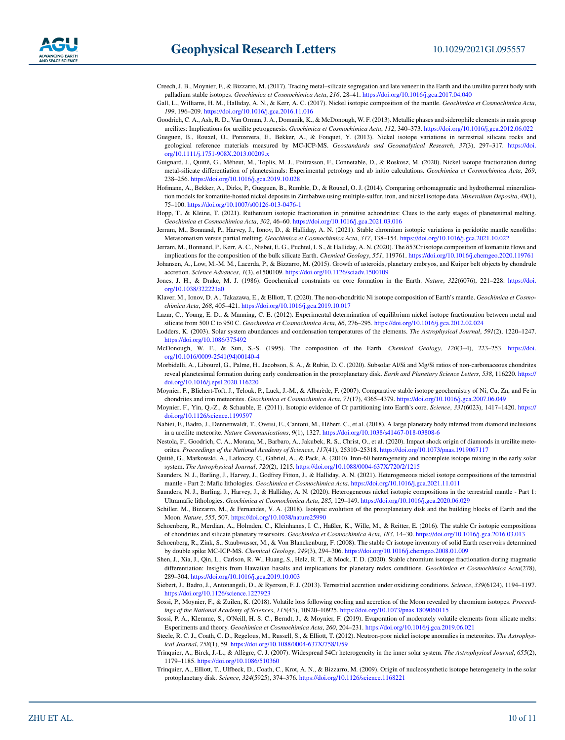- Creech, J. B., Moynier, F., & Bizzarro, M. (2017). Tracing metal–silicate segregation and late veneer in the Earth and the ureilite parent body with palladium stable isotopes. *Geochimica et Cosmochimica Acta*, *216*, 28–41. <https://doi.org/10.1016/j.gca.2017.04.040>
- Gall, L., Williams, H. M., Halliday, A. N., & Kerr, A. C. (2017). Nickel isotopic composition of the mantle. *Geochimica et Cosmochimica Acta*, *199*, 196–209. <https://doi.org/10.1016/j.gca.2016.11.016>
- Goodrich, C. A., Ash, R. D., Van Orman, J. A., Domanik, K., & McDonough, W. F. (2013). Metallic phases and siderophile elements in main group ureilites: Implications for ureilite petrogenesis. *Geochimica et Cosmochimica Acta*, *112*, 340–373. <https://doi.org/10.1016/j.gca.2012.06.022>
- Gueguen, B., Rouxel, O., Ponzevera, E., Bekker, A., & Fouquet, Y. (2013). Nickel isotope variations in terrestrial silicate rocks and geological reference materials measured by MC-ICP-MS. *Geostandards and Geoanalytical Research*, *37*(3), 297–317. [https://doi.](https://doi.org/10.1111/j.1751-908X.2013.00209.x) [org/10.1111/j.1751-908X.2013.00209.x](https://doi.org/10.1111/j.1751-908X.2013.00209.x)
- Guignard, J., Quitté, G., Méheut, M., Toplis, M. J., Poitrasson, F., Connetable, D., & Roskosz, M. (2020). Nickel isotope fractionation during metal-silicate differentiation of planetesimals: Experimental petrology and ab initio calculations. *Geochimica et Cosmochimica Acta*, *269*, 238–256. <https://doi.org/10.1016/j.gca.2019.10.028>
- Hofmann, A., Bekker, A., Dirks, P., Gueguen, B., Rumble, D., & Rouxel, O. J. (2014). Comparing orthomagmatic and hydrothermal mineralization models for komatiite-hosted nickel deposits in Zimbabwe using multiple-sulfur, iron, and nickel isotope data. *Mineralium Deposita*, *49*(1), 75–100.<https://doi.org/10.1007/s00126-013-0476-1>
- Hopp, T., & Kleine, T. (2021). Ruthenium isotopic fractionation in primitive achondrites: Clues to the early stages of planetesimal melting. *Geochimica et Cosmochimica Acta*, *302*, 46–60.<https://doi.org/10.1016/j.gca.2021.03.016>
- Jerram, M., Bonnand, P., Harvey, J., Ionov, D., & Halliday, A. N. (2021). Stable chromium isotopic variations in peridotite mantle xenoliths: Metasomatism versus partial melting. *Geochimica et Cosmochimica Acta*, *317*, 138–154. <https://doi.org/10.1016/j.gca.2021.10.022>
- Jerram, M., Bonnand, P., Kerr, A. C., Nisbet, E. G., Puchtel, I. S., & Halliday, A. N. (2020). The δ53Cr isotope composition of komatiite flows and implications for the composition of the bulk silicate Earth. *Chemical Geology*, *551*, 119761. <https://doi.org/10.1016/j.chemgeo.2020.119761>
- Johansen, A., Low, M.-M. M., Lacerda, P., & Bizzarro, M. (2015). Growth of asteroids, planetary embryos, and Kuiper belt objects by chondrule accretion. *Science Advances*, *1*(3), e1500109. <https://doi.org/10.1126/sciadv.1500109>
- Jones, J. H., & Drake, M. J. (1986). Geochemical constraints on core formation in the Earth. *Nature*, *322*(6076), 221–228. [https://doi.](https://doi.org/10.1038/322221a0) [org/10.1038/322221a0](https://doi.org/10.1038/322221a0)
- Klaver, M., Ionov, D. A., Takazawa, E., & Elliott, T. (2020). The non-chondritic Ni isotope composition of Earth's mantle. *Geochimica et Cosmochimica Acta*, *268*, 405–421. <https://doi.org/10.1016/j.gca.2019.10.017>
- Lazar, C., Young, E. D., & Manning, C. E. (2012). Experimental determination of equilibrium nickel isotope fractionation between metal and silicate from 500 C to 950 C. *Geochimica et Cosmochimica Acta*, *86*, 276–295.<https://doi.org/10.1016/j.gca.2012.02.024>
- Lodders, K. (2003). Solar system abundances and condensation temperatures of the elements. *The Astrophysical Journal*, *591*(2), 1220–1247. <https://doi.org/10.1086/375492>
- McDonough, W. F., & Sun, S.-S. (1995). The composition of the Earth. *Chemical Geology*, *120*(3–4), 223–253. [https://doi.](https://doi.org/10.1016/0009-2541(94)00140-4) [org/10.1016/0009-2541\(94\)00140-4](https://doi.org/10.1016/0009-2541(94)00140-4)
- Morbidelli, A., Libourel, G., Palme, H., Jacobson, S. A., & Rubie, D. C. (2020). Subsolar Al/Si and Mg/Si ratios of non-carbonaceous chondrites reveal planetesimal formation during early condensation in the protoplanetary disk. *Earth and Planetary Science Letters*, *538*, 116220. [https://](https://doi.org/10.1016/j.epsl.2020.116220) [doi.org/10.1016/j.epsl.2020.116220](https://doi.org/10.1016/j.epsl.2020.116220)
- Moynier, F., Blichert-Toft, J., Telouk, P., Luck, J.-M., & Albarède, F. (2007). Comparative stable isotope geochemistry of Ni, Cu, Zn, and Fe in chondrites and iron meteorites. *Geochimica et Cosmochimica Acta*, *71*(17), 4365–4379.<https://doi.org/10.1016/j.gca.2007.06.049>
- Moynier, F., Yin, Q.-Z., & Schauble, E. (2011). Isotopic evidence of Cr partitioning into Earth's core. *Science*, *331*(6023), 1417–1420. [https://](https://doi.org/10.1126/science.1199597) [doi.org/10.1126/science.1199597](https://doi.org/10.1126/science.1199597)
- Nabiei, F., Badro, J., Dennenwaldt, T., Oveisi, E., Cantoni, M., Hébert, C., et al. (2018). A large planetary body inferred from diamond inclusions in a ureilite meteorite. *Nature Communications*, *9*(1), 1327.<https://doi.org/10.1038/s41467-018-03808-6>
- Nestola, F., Goodrich, C. A., Morana, M., Barbaro, A., Jakubek, R. S., Christ, O., et al. (2020). Impact shock origin of diamonds in ureilite meteorites. *Proceedings of the National Academy of Sciences*, *117*(41), 25310–25318.<https://doi.org/10.1073/pnas.1919067117>
- Quitté, G., Markowski, A., Latkoczy, C., Gabriel, A., & Pack, A. (2010). Iron-60 heterogeneity and incomplete isotope mixing in the early solar system. *The Astrophysical Journal*, *720*(2), 1215.<https://doi.org/10.1088/0004-637X/720/2/1215>
- Saunders, N. J., Barling, J., Harvey, J., Godfrey Fitton, J., & Halliday, A. N. (2021). Heterogeneous nickel isotope compositions of the terrestrial mantle - Part 2: Mafic lithologies. *Geochimica et Cosmochimica Acta*.<https://doi.org/10.1016/j.gca.2021.11.011>
- Saunders, N. J., Barling, J., Harvey, J., & Halliday, A. N. (2020). Heterogeneous nickel isotopic compositions in the terrestrial mantle Part 1: Ultramafic lithologies. *Geochimica et Cosmochimica Acta*, *285*, 129–149. <https://doi.org/10.1016/j.gca.2020.06.029>
- Schiller, M., Bizzarro, M., & Fernandes, V. A. (2018). Isotopic evolution of the protoplanetary disk and the building blocks of Earth and the Moon. *Nature*, *555*, 507. <https://doi.org/10.1038/nature25990>
- Schoenberg, R., Merdian, A., Holmden, C., Kleinhanns, I. C., Haßler, K., Wille, M., & Reitter, E. (2016). The stable Cr isotopic compositions of chondrites and silicate planetary reservoirs. *Geochimica et Cosmochimica Acta*, *183*, 14–30.<https://doi.org/10.1016/j.gca.2016.03.013>
- Schoenberg, R., Zink, S., Staubwasser, M., & Von Blanckenburg, F. (2008). The stable Cr isotope inventory of solid Earth reservoirs determined by double spike MC-ICP-MS. *Chemical Geology*, *249*(3), 294–306. <https://doi.org/10.1016/j.chemgeo.2008.01.009>
- Shen, J., Xia, J., Qin, L., Carlson, R. W., Huang, S., Helz, R. T., & Mock, T. D. (2020). Stable chromium isotope fractionation during magmatic differentiation: Insights from Hawaiian basalts and implications for planetary redox conditions. *Geochimica et Cosmochimica Acta*(278), 289–304. <https://doi.org/10.1016/j.gca.2019.10.003>
- Siebert, J., Badro, J., Antonangeli, D., & Ryerson, F. J. (2013). Terrestrial accretion under oxidizing conditions. *Science*, *339*(6124), 1194–1197. <https://doi.org/10.1126/science.1227923>
- Sossi, P., Moynier, F., & Zuilen, K. (2018). Volatile loss following cooling and accretion of the Moon revealed by chromium isotopes. *Proceedings of the National Academy of Sciences*, *115*(43), 10920–10925. <https://doi.org/10.1073/pnas.1809060115>
- Sossi, P. A., Klemme, S., O'Neill, H. S. C., Berndt, J., & Moynier, F. (2019). Evaporation of moderately volatile elements from silicate melts: Experiments and theory. *Geochimica et Cosmochimica Acta*, *260*, 204–231. <https://doi.org/10.1016/j.gca.2019.06.021>
- Steele, R. C. J., Coath, C. D., Regelous, M., Russell, S., & Elliott, T. (2012). Neutron-poor nickel isotope anomalies in meteorites. *The Astrophysical Journal*, *758*(1), 59.<https://doi.org/10.1088/0004-637X/758/1/59>
- Trinquier, A., Birck, J.-L., & Allègre, C. J. (2007). Widespread 54Cr heterogeneity in the inner solar system. *The Astrophysical Journal*, *655*(2), 1179–1185. <https://doi.org/10.1086/510360>
- Trinquier, A., Elliott, T., Ulfbeck, D., Coath, C., Krot, A. N., & Bizzarro, M. (2009). Origin of nucleosynthetic isotope heterogeneity in the solar protoplanetary disk. *Science*, *324*(5925), 374–376.<https://doi.org/10.1126/science.1168221>